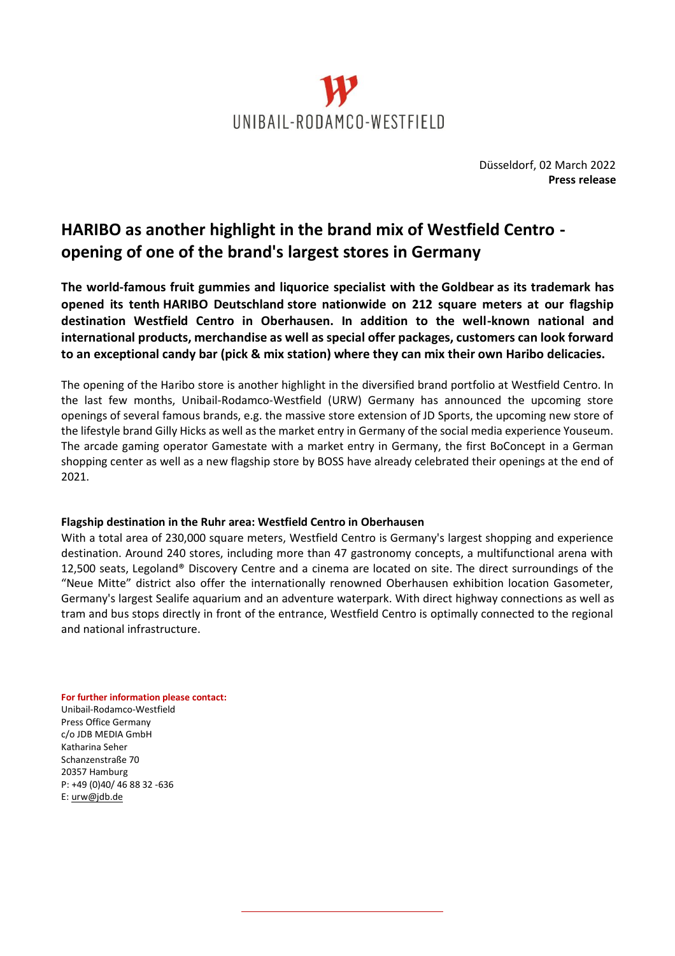

## **HARIBO as another highlight in the brand mix of Westfield Centro opening of one of the brand's largest stores in Germany**

**The world-famous fruit gummies and liquorice specialist with the Goldbear as its trademark has opened its tenth HARIBO Deutschland store nationwide on 212 square meters at our flagship destination Westfield Centro in Oberhausen. In addition to the well-known national and international products, merchandise as well as special offer packages, customers can look forward to an exceptional candy bar (pick & mix station) where they can mix their own Haribo delicacies.**

The opening of the Haribo store is another highlight in the diversified brand portfolio at Westfield Centro. In the last few months, Unibail-Rodamco-Westfield (URW) Germany has announced the upcoming store openings of several famous brands, e.g. the massive store extension of JD Sports, the upcoming new store of the lifestyle brand Gilly Hicks as well as the market entry in Germany of the social media experience Youseum. The arcade gaming operator Gamestate with a market entry in Germany, the first BoConcept in a German shopping center as well as a new flagship store by BOSS have already celebrated their openings at the end of 2021.

## **Flagship destination in the Ruhr area: Westfield Centro in Oberhausen**

With a total area of 230,000 square meters, Westfield Centro is Germany's largest shopping and experience destination. Around 240 stores, including more than 47 gastronomy concepts, a multifunctional arena with 12,500 seats, Legoland® Discovery Centre and a cinema are located on site. The direct surroundings of the "Neue Mitte" district also offer the internationally renowned Oberhausen exhibition location Gasometer, Germany's largest Sealife aquarium and an adventure waterpark. With direct highway connections as well as tram and bus stops directly in front of the entrance, Westfield Centro is optimally connected to the regional and national infrastructure.

**For further information please contact:**

Unibail-Rodamco-Westfield Press Office Germany c/o JDB MEDIA GmbH Katharina Seher Schanzenstraße 70 20357 Hamburg P: +49 (0)40/ 46 88 32 -636 E: [urw@jdb.de](mailto:urw@jdb.de)